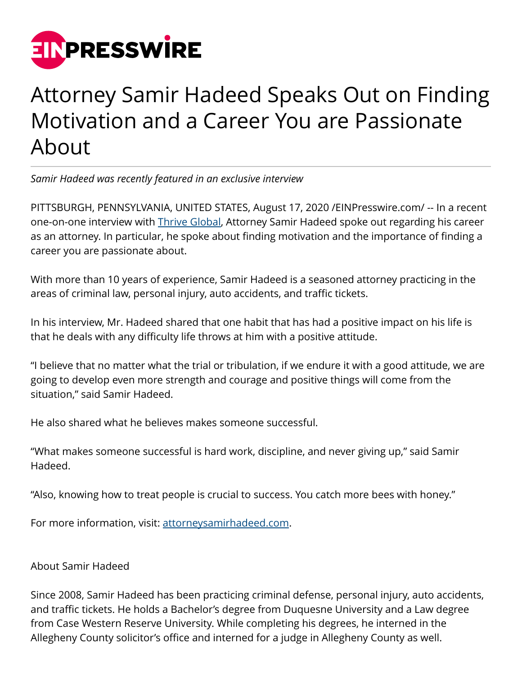

## Attorney Samir Hadeed Speaks Out on Finding Motivation and a Career You are Passionate About

*Samir Hadeed was recently featured in an exclusive interview*

PITTSBURGH, PENNSYLVANIA, UNITED STATES, August 17, 2020 /[EINPresswire.com/](http://www.einpresswire.com) -- In a recent one-on-one interview with **Thrive Global**, Attorney Samir Hadeed spoke out regarding his career as an attorney. In particular, he spoke about finding motivation and the importance of finding a career you are passionate about.

With more than 10 years of experience, Samir Hadeed is a seasoned attorney practicing in the areas of criminal law, personal injury, auto accidents, and traffic tickets.

In his interview, Mr. Hadeed shared that one habit that has had a positive impact on his life is that he deals with any difficulty life throws at him with a positive attitude.

"I believe that no matter what the trial or tribulation, if we endure it with a good attitude, we are going to develop even more strength and courage and positive things will come from the situation," said Samir Hadeed.

He also shared what he believes makes someone successful.

"What makes someone successful is hard work, discipline, and never giving up," said Samir Hadeed.

"Also, knowing how to treat people is crucial to success. You catch more bees with honey."

For more information, visit: [attorneysamirhadeed.com](https://attorneysamirhadeed.com/).

## About Samir Hadeed

Since 2008, Samir Hadeed has been practicing criminal defense, personal injury, auto accidents, and traffic tickets. He holds a Bachelor's degree from Duquesne University and a Law degree from Case Western Reserve University. While completing his degrees, he interned in the Allegheny County solicitor's office and interned for a judge in Allegheny County as well.